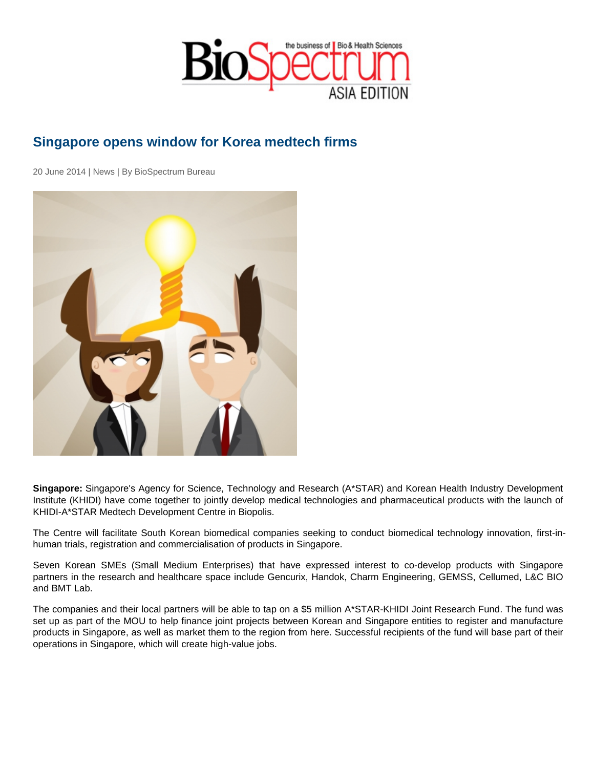## Singapore opens window for Korea medtech firms

20 June 2014 | News | By BioSpectrum Bureau

Singapore: Singapore's Agency for Science, Technology and Research (A\*STAR) and Korean Health Industry Development Institute (KHIDI) have come together to jointly develop medical technologies and pharmaceutical products with the launch of KHIDI-A\*STAR Medtech Development Centre in Biopolis.

The Centre will facilitate South Korean biomedical companies seeking to conduct biomedical technology innovation, first-inhuman trials, registration and commercialisation of products in Singapore.

Seven Korean SMEs (Small Medium Enterprises) that have expressed interest to co-develop products with Singapore partners in the research and healthcare space include Gencurix, Handok, Charm Engineering, GEMSS, Cellumed, L&C BIO and BMT Lab.

The companies and their local partners will be able to tap on a \$5 million A\*STAR-KHIDI Joint Research Fund. The fund was set up as part of the MOU to help finance joint projects between Korean and Singapore entities to register and manufacture products in Singapore, as well as market them to the region from here. Successful recipients of the fund will base part of their operations in Singapore, which will create high-value jobs.